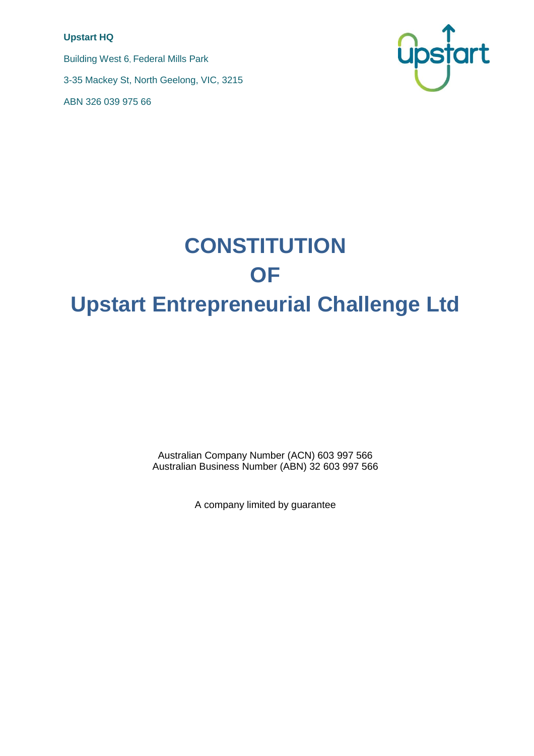#### **Upstart HQ**

Building West 6, Federal Mills Park 3-35 Mackey St, North Geelong, VIC, 3215 ABN 326 039 975 66



# **CONSTITUTION OF Upstart Entrepreneurial Challenge Ltd**

Australian Company Number (ACN) 603 997 566 Australian Business Number (ABN) 32 603 997 566

A company limited by guarantee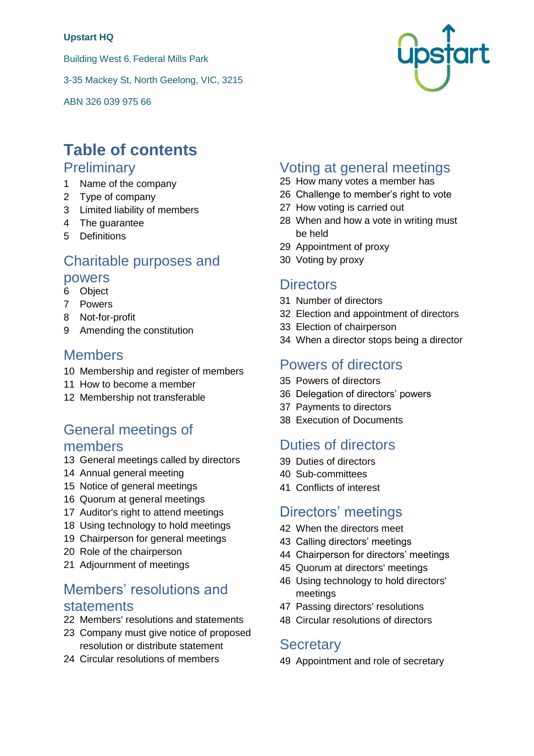#### **Upstart HQ**

Building West 6, Federal Mills Park

3-35 Mackey St, North Geelong, VIC, 3215

ABN 326 039 975 66



# **Table of contents**

### **Preliminary**

- Name of the company
- Type of company
- Limited liability of members
- The guarantee
- Definitions

# Charitable purposes and

### powers

- <span id="page-1-0"></span>Object
- Powers
- Not-for-profit
- Amending the constitution

### Members

- Membership and register of members
- How to become a member
- Membership not transferable

# General meetings of members

- General meetings called by directors
- Annual general meeting
- Notice of general meetings
- Quorum at general meetings
- Auditor's right to attend meetings
- Using technology to hold meetings
- Chairperson for general meetings
- Role of the chairperson
- Adjournment of meetings

# Members' resolutions and statements

- Members' resolutions and statements
- Company must give notice of proposed resolution or distribute statement
- Circular resolutions of members

# Voting at general meetings

- How many votes a member has
- Challenge to member's right to vote
- How voting is carried out
- When and how a vote in writing must be held
- Appointment of proxy
- Voting by proxy

### **Directors**

- Number of directors
- Election and appointment of directors
- Election of chairperson
- When a director stops being a director

### Powers of directors

- Powers of directors
- Delegation of directors' powers
- Payments to directors
- Execution of Documents

# Duties of directors

- Duties of directors
- Sub-committees
- Conflicts of interest

# Directors' meetings

- When the directors meet
- Calling directors' meetings
- Chairperson for directors' meetings
- Quorum at directors' meetings
- Using technology to hold directors' meetings
- Passing directors' resolutions
- Circular resolutions of directors

#### **Secretary**

Appointment and role of secretary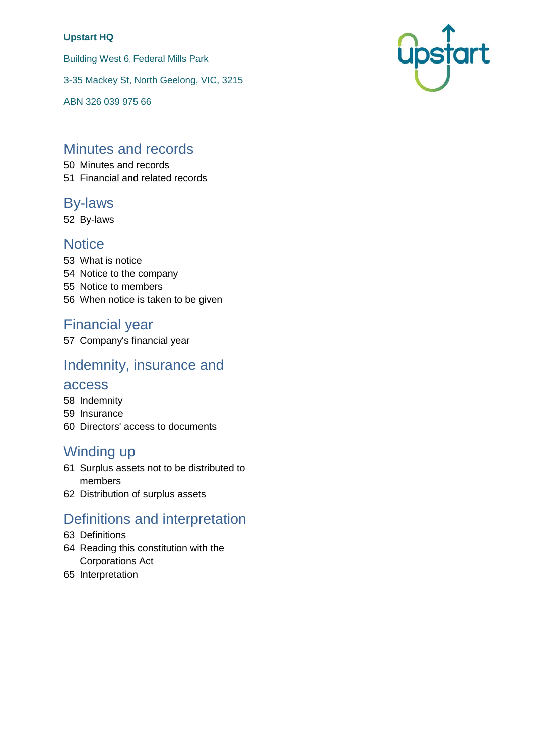#### **Upstart HQ**

Building West 6, Federal Mills Park

3-35 Mackey St, North Geelong, VIC, 3215

ABN 326 039 975 66

# Minutes and records

50 Minutes and records 51 Financial and related records

### By-laws

52 By-laws

### **Notice**

 What is notice Notice to the company Notice to members When notice is taken to be given

# Financial year

57 Company's financial year

# Indemnity, insurance and

#### access

- 58 Indemnity
- 59 Insurance
- 60 Directors' access to documents

# Winding up

- 61 Surplus assets not to be distributed to members
- 62 Distribution of surplus assets

# Definitions and interpretation

- 63 Definitions
- 64 Reading this constitution with the Corporations Act
- 65 Interpretation

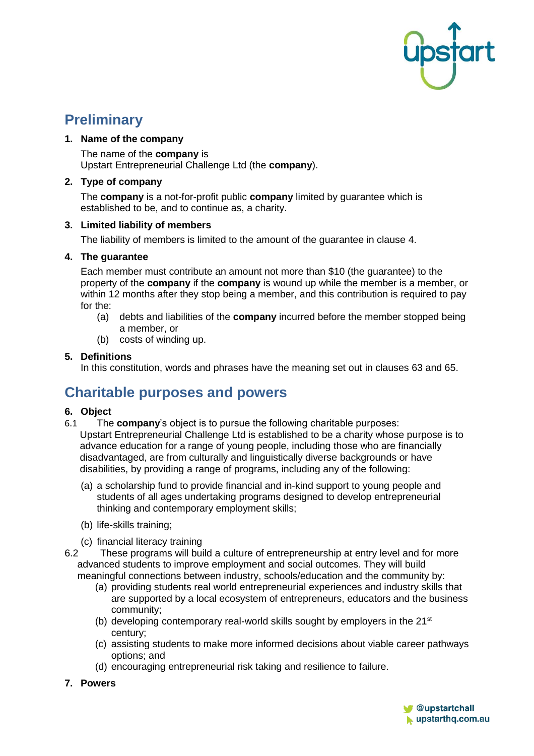

# **Preliminary**

#### <span id="page-3-1"></span>**1. Name of the company**

The name of the **company** is Upstart Entrepreneurial Challenge Ltd (the **company**).

#### **2. Type of company**

The **company** is a not-for-profit public **company** limited by guarantee which is established to be, and to continue as, a charity.

#### **3. Limited liability of members**

The liability of members is limited to the amount of the guarantee in clause [4.](#page-3-0)

#### <span id="page-3-0"></span>**4. The guarantee**

Each member must contribute an amount not more than \$10 (the guarantee) to the property of the **company** if the **company** is wound up while the member is a member, or within 12 months after they stop being a member, and this contribution is required to pay for the:

- (a) debts and liabilities of the **company** incurred before the member stopped being a member, or
- (b) costs of winding up.

#### **5. Definitions**

In this constitution, words and phrases have the meaning set out in clauses 63 and 65.

# **Charitable purposes and powers**

#### **6. Object**

- 6.1 The **company**'s object is to pursue the following charitable purposes: Upstart Entrepreneurial Challenge Ltd is established to be a charity whose purpose is to advance education for a range of young people, including those who are financially disadvantaged, are from culturally and linguistically diverse backgrounds or have disabilities, by providing a range of programs, including any of the following:
	- (a) a scholarship fund to provide financial and in-kind support to young people and students of all ages undertaking programs designed to develop entrepreneurial thinking and contemporary employment skills;
	- (b) life-skills training;
	- (c) financial literacy training
- 6.2 These programs will build a culture of entrepreneurship at entry level and for more advanced students to improve employment and social outcomes. They will build meaningful connections between industry, schools/education and the community by:
	- (a) providing students real world entrepreneurial experiences and industry skills that are supported by a local ecosystem of entrepreneurs, educators and the business community;
	- (b) developing contemporary real-world skills sought by employers in the 21<sup>st</sup> century;
	- (c) assisting students to make more informed decisions about viable career pathways options; and
	- (d) encouraging entrepreneurial risk taking and resilience to failure.
- **7. Powers**

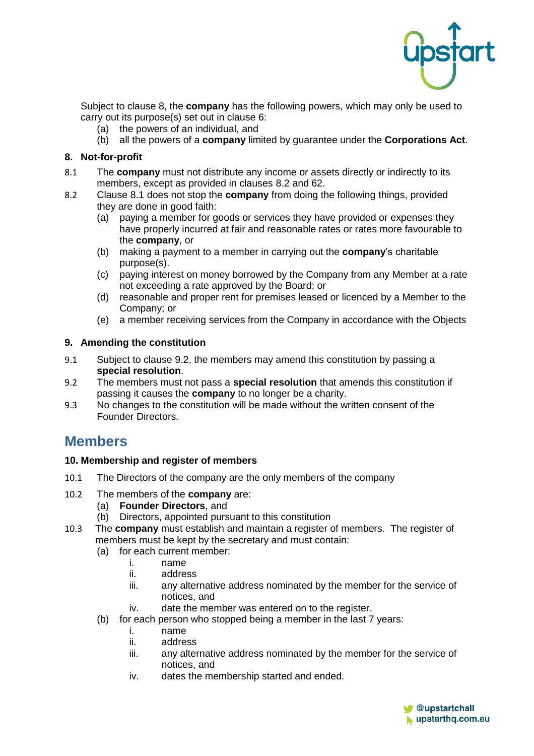

Subject to clause [8,](#page-4-0) the **company** has the following powers, which may only be used to carry out its purpose(s) set out in clause 6:

- (a) the powers of an individual, and
- (b) all the powers of a **company** limited by guarantee under the **Corporations Act**.

#### <span id="page-4-0"></span>**8. Not-for-profit**

- <span id="page-4-2"></span>8.1 The **company** must not distribute any income or assets directly or indirectly to its members, except as provided in clauses [8.2](#page-4-1) and [62.](#page-17-0)
- <span id="page-4-1"></span>8.2 Clause [8.1](#page-4-2) does not stop the **company** from doing the following things, provided they are done in good faith:
	- (a) paying a member for goods or services they have provided or expenses they have properly incurred at fair and reasonable rates or rates more favourable to the **company**, or
	- (b) making a payment to a member in carrying out the **company**'s charitable purpose(s).
	- (c) paying interest on money borrowed by the Company from any Member at a rate not exceeding a rate approved by the Board; or
	- (d) reasonable and proper rent for premises leased or licenced by a Member to the Company; or
	- (e) a member receiving services from the Company in accordance with the Objects

#### **9. Amending the constitution**

- 9.1 Subject to clause [9.2,](#page-4-3) the members may amend this constitution by passing a **special resolution**.
- <span id="page-4-3"></span>9.2 The members must not pass a **special resolution** that amends this constitution if passing it causes the **company** to no longer be a charity.
- 9.3 No changes to the constitution will be made without the written consent of the Founder Directors.

### **Members**

#### **10. Membership and register of members**

- 10.1 The Directors of the company are the only members of the company
- 10.2 The members of the **company** are:
	- (a) **Founder Directors**, and
	- (b) Directors, appointed pursuant to this constitution
- 10.3 The **company** must establish and maintain a register of members. The register of members must be kept by the secretary and must contain:
	- (a) for each current member:
		- i. name
			- ii. address
			- iii. any alternative address nominated by the member for the service of notices, and
			- iv. date the member was entered on to the register.
	- (b) for each person who stopped being a member in the last 7 years:
		- i. name
		- ii. address
		- iii. any alternative address nominated by the member for the service of notices, and
		- iv. dates the membership started and ended.

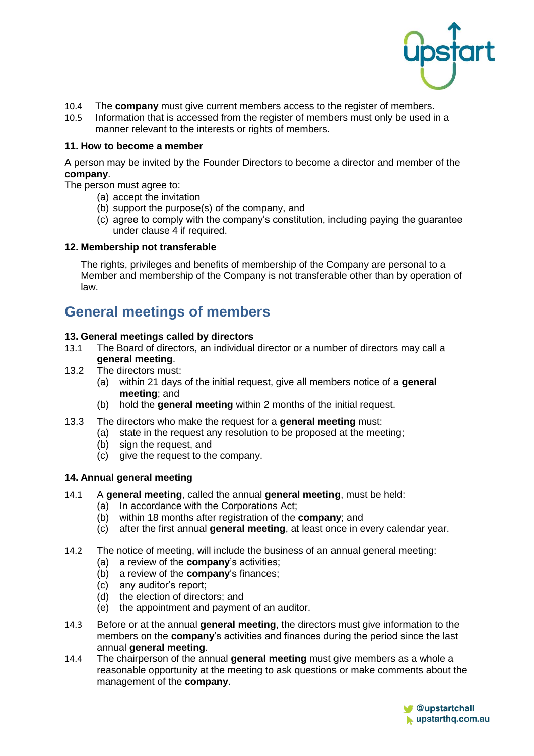

- 10.4 The **company** must give current members access to the register of members.<br>10.5 Information that is accessed from the register of members must only be used in
- Information that is accessed from the register of members must only be used in a manner relevant to the interests or rights of members.

#### **11. How to become a member**

A person may be invited by the Founder Directors to become a director and member of the **company**.

The person must agree to:

- (a) accept the invitation
- (b) support the purpose(s) of the company, and
- (c) agree to comply with the company's constitution, including paying the guarantee under clause 4 if required.

#### **12. Membership not transferable**

The rights, privileges and benefits of membership of the Company are personal to a Member and membership of the Company is not transferable other than by operation of law.

# **General meetings of members**

#### **13. General meetings called by directors**

- 13.1 The Board of directors, an individual director or a number of directors may call a **general meeting**.
- 13.2 The directors must:
	- (a) within 21 days of the initial request, give all members notice of a **general meeting**; and
	- (b) hold the **general meeting** within 2 months of the initial request.
- 13.3 The directors who make the request for a **general meeting** must:
	- (a) state in the request any resolution to be proposed at the meeting;
	- (b) sign the request, and
	- (c) give the request to the company.

#### **14. Annual general meeting**

- <span id="page-5-0"></span>14.1 A **general meeting**, called the annual **general meeting**, must be held:
	- (a) In accordance with the Corporations Act;
	- (b) within 18 months after registration of the **company**; and
	- (c) after the first annual **general meeting**, at least once in every calendar year.
- 14.2 The notice of meeting, will include the business of an annual general meeting:
	- (a) a review of the **company**'s activities;
	- (b) a review of the **company**'s finances;
	- (c) any auditor's report;
	- (d) the election of directors; and
	- (e) the appointment and payment of an auditor.
- 14.3 Before or at the annual **general meeting**, the directors must give information to the members on the **company**'s activities and finances during the period since the last annual **general meeting**.
- 14.4 The chairperson of the annual **general meeting** must give members as a whole a reasonable opportunity at the meeting to ask questions or make comments about the management of the **company**.

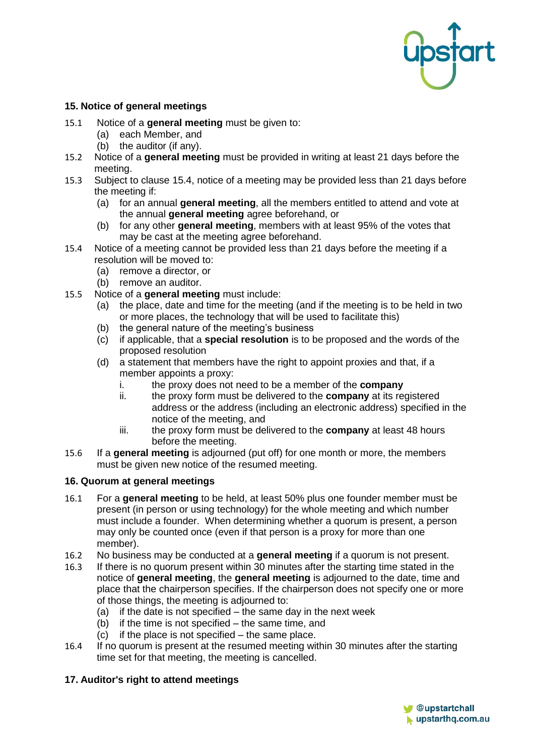

#### **15. Notice of general meetings**

- 15.1 Notice of a **general meeting** must be given to:
	- (a) each Member, and
	- (b) the auditor (if any).
- 15.2 Notice of a **general meeting** must be provided in writing at least 21 days before the meeting.
- 15.3 Subject to clause [15.4,](#page-6-0) notice of a meeting may be provided less than 21 days before the meeting if:
	- (a) for an annual **general meeting**, all the members entitled to attend and vote at the annual **general meeting** agree beforehand, or
	- (b) for any other **general meeting**, members with at least 95% of the votes that may be cast at the meeting agree beforehand.
- <span id="page-6-0"></span>15.4 Notice of a meeting cannot be provided less than 21 days before the meeting if a resolution will be moved to:
	- (a) remove a director, or
	- (b) remove an auditor.
- <span id="page-6-1"></span>15.5 Notice of a **general meeting** must include:
	- (a) the place, date and time for the meeting (and if the meeting is to be held in two or more places, the technology that will be used to facilitate this)
	- (b) the general nature of the meeting's business
	- (c) if applicable, that a **special resolution** is to be proposed and the words of the proposed resolution
	- (d) a statement that members have the right to appoint proxies and that, if a member appoints a proxy:
		- i. the proxy does not need to be a member of the **company**
		- ii. the proxy form must be delivered to the **company** at its registered address or the address (including an electronic address) specified in the notice of the meeting, and
		- iii. the proxy form must be delivered to the **company** at least 48 hours before the meeting.
- 15.6 If a **general meeting** is adjourned (put off) for one month or more, the members must be given new notice of the resumed meeting.

#### **16. Quorum at general meetings**

- 16.1 For a **general meeting** to be held, at least 50% plus one founder member must be present (in person or using technology) for the whole meeting and which number must include a founder. When determining whether a quorum is present, a person may only be counted once (even if that person is a proxy for more than one member).
- 16.2 No business may be conducted at a **general meeting** if a quorum is not present.
- 16.3 If there is no quorum present within 30 minutes after the starting time stated in the notice of **general meeting**, the **general meeting** is adjourned to the date, time and place that the chairperson specifies. If the chairperson does not specify one or more of those things, the meeting is adjourned to:
	- (a) if the date is not specified  $-$  the same day in the next week
	- (b) if the time is not specified the same time, and
	- (c) if the place is not specified the same place.
- 16.4 If no quorum is present at the resumed meeting within 30 minutes after the starting time set for that meeting, the meeting is cancelled.

#### **17. Auditor's right to attend meetings**

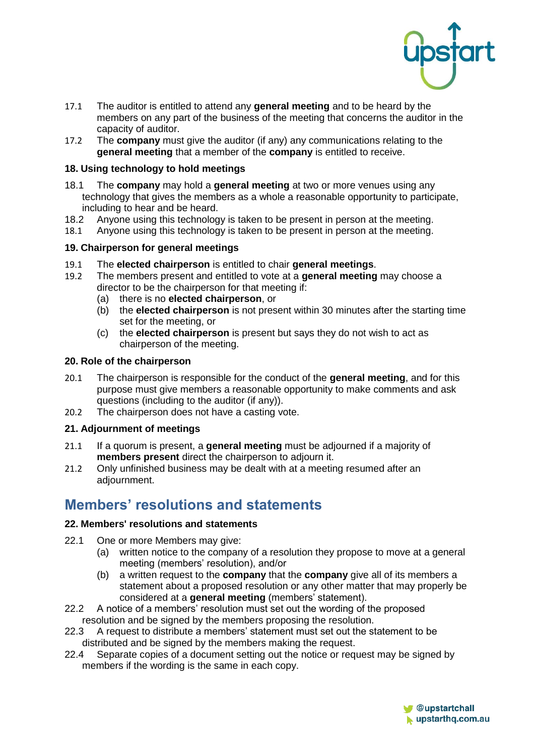

- 17.1 The auditor is entitled to attend any **general meeting** and to be heard by the members on any part of the business of the meeting that concerns the auditor in the capacity of auditor.
- 17.2 The **company** must give the auditor (if any) any communications relating to the **general meeting** that a member of the **company** is entitled to receive.

#### **18. Using technology to hold meetings**

- 18.1 The **company** may hold a **general meeting** at two or more venues using any technology that gives the members as a whole a reasonable opportunity to participate, including to hear and be heard.
- 18.2 Anyone using this technology is taken to be present in person at the meeting.
- 18.1 Anyone using this technology is taken to be present in person at the meeting.

#### **19. Chairperson for general meetings**

- 19.1 The **elected chairperson** is entitled to chair **general meetings**.
- 19.2 The members present and entitled to vote at a **general meeting** may choose a director to be the chairperson for that meeting if:
	- (a) there is no **elected chairperson**, or
	- (b) the **elected chairperson** is not present within 30 minutes after the starting time set for the meeting, or
	- (c) the **elected chairperson** is present but says they do not wish to act as chairperson of the meeting.

#### **20. Role of the chairperson**

- 20.1 The chairperson is responsible for the conduct of the **general meeting**, and for this purpose must give members a reasonable opportunity to make comments and ask questions (including to the auditor (if any)).
- 20.2 The chairperson does not have a casting vote.

#### **21. Adjournment of meetings**

- 21.1 If a quorum is present, a **general meeting** must be adjourned if a majority of **members present** direct the chairperson to adjourn it.
- 21.2 Only unfinished business may be dealt with at a meeting resumed after an adjournment.

# **Members' resolutions and statements**

#### **22. Members' resolutions and statements**

- <span id="page-7-0"></span>22.1 One or more Members may give:
	- (a) written notice to the company of a resolution they propose to move at a general meeting (members' resolution), and/or
	- (b) a written request to the **company** that the **company** give all of its members a statement about a proposed resolution or any other matter that may properly be considered at a **general meeting** (members' statement).
- 22.2 A notice of a members' resolution must set out the wording of the proposed resolution and be signed by the members proposing the resolution.
- 22.3 A request to distribute a members' statement must set out the statement to be distributed and be signed by the members making the request.
- 22.4 Separate copies of a document setting out the notice or request may be signed by members if the wording is the same in each copy.

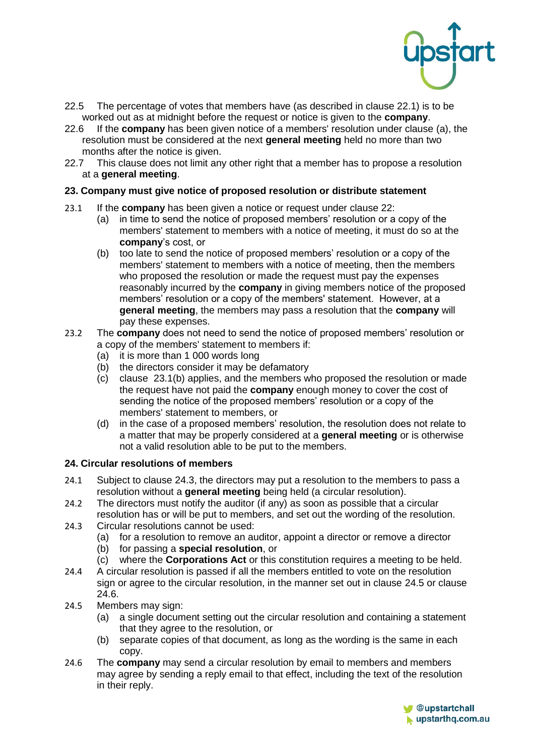

- 22.5 The percentage of votes that members have (as described in clause 22.1) is to be worked out as at midnight before the request or notice is given to the **company**.
- 22.6 If the **company** has been given notice of a members' resolution under clause [\(a\),](#page-7-0) the resolution must be considered at the next **general meeting** held no more than two months after the notice is given.<br>22.7 This clause does not limit and
- This clause does not limit any other right that a member has to propose a resolution at a **general meeting**.

#### **23. Company must give notice of proposed resolution or distribute statement**

- <span id="page-8-0"></span>23.1 If the **company** has been given a notice or request under clause 22:
	- (a) in time to send the notice of proposed members' resolution or a copy of the members' statement to members with a notice of meeting, it must do so at the **company**'s cost, or
	- (b) too late to send the notice of proposed members' resolution or a copy of the members' statement to members with a notice of meeting, then the members who proposed the resolution or made the request must pay the expenses reasonably incurred by the **company** in giving members notice of the proposed members' resolution or a copy of the members' statement. However, at a **general meeting**, the members may pass a resolution that the **company** will pay these expenses.
- 23.2 The **company** does not need to send the notice of proposed members' resolution or a copy of the members' statement to members if:
	- (a) it is more than 1 000 words long
	- (b) the directors consider it may be defamatory
	- (c) clause [23.1\(b\)](#page-8-0) applies, and the members who proposed the resolution or made the request have not paid the **company** enough money to cover the cost of sending the notice of the proposed members' resolution or a copy of the members' statement to members, or
	- (d) in the case of a proposed members' resolution, the resolution does not relate to a matter that may be properly considered at a **general meeting** or is otherwise not a valid resolution able to be put to the members.

#### **24. Circular resolutions of members**

- 24.1 Subject to clause [24.3,](#page-8-1) the directors may put a resolution to the members to pass a resolution without a **general meeting** being held (a circular resolution).
- 24.2 The directors must notify the auditor (if any) as soon as possible that a circular resolution has or will be put to members, and set out the wording of the resolution.
- <span id="page-8-1"></span>24.3 Circular resolutions cannot be used:
	- (a) for a resolution to remove an auditor, appoint a director or remove a director
	- (b) for passing a **special resolution**, or
	- (c) where the **Corporations Act** or this constitution requires a meeting to be held.
- 24.4 A circular resolution is passed if all the members entitled to vote on the resolution sign or agree to the circular resolution, in the manner set out in clause [24.5](#page-8-2) or clause 24.6.
- <span id="page-8-2"></span>24.5 Members may sign:
	- (a) a single document setting out the circular resolution and containing a statement that they agree to the resolution, or
	- (b) separate copies of that document, as long as the wording is the same in each copy.
- 24.6 The **company** may send a circular resolution by email to members and members may agree by sending a reply email to that effect, including the text of the resolution in their reply.

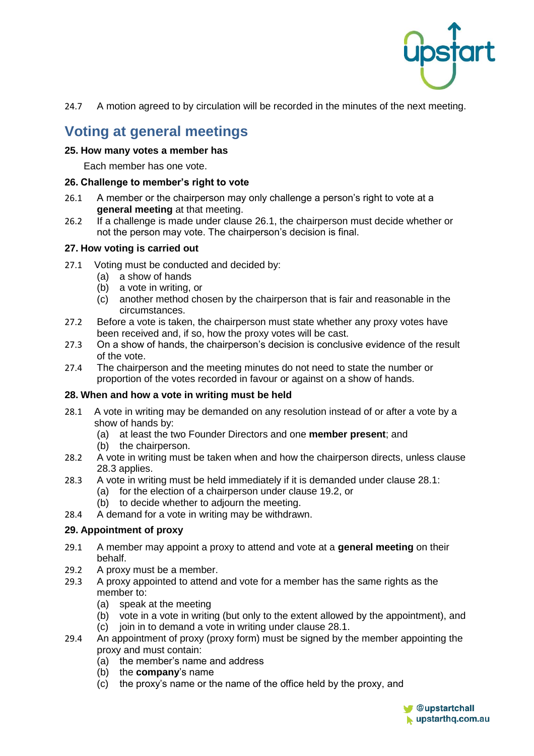

24.7 A motion agreed to by circulation will be recorded in the minutes of the next meeting.

# **Voting at general meetings**

#### **25. How many votes a member has**

Each member has one vote.

#### **26. Challenge to member's right to vote**

- <span id="page-9-0"></span>26.1 A member or the chairperson may only challenge a person's right to vote at a **general meeting** at that meeting.
- 26.2 If a challenge is made under clause [26.1,](#page-9-0) the chairperson must decide whether or not the person may vote. The chairperson's decision is final.

#### **27. How voting is carried out**

- 27.1 Voting must be conducted and decided by:
	- (a) a show of hands
	- (b) a vote in writing, or
	- (c) another method chosen by the chairperson that is fair and reasonable in the circumstances.
- 27.2 Before a vote is taken, the chairperson must state whether any proxy votes have been received and, if so, how the proxy votes will be cast.
- 27.3 On a show of hands, the chairperson's decision is conclusive evidence of the result of the vote.
- 27.4 The chairperson and the meeting minutes do not need to state the number or proportion of the votes recorded in favour or against on a show of hands.

#### **28. When and how a vote in writing must be held**

- <span id="page-9-2"></span>28.1 A vote in writing may be demanded on any resolution instead of or after a vote by a show of hands by:
	- (a) at least the two Founder Directors and one **member present**; and
	- (b) the chairperson.
- 28.2 A vote in writing must be taken when and how the chairperson directs, unless clause [28.3](#page-9-1) applies.
- <span id="page-9-1"></span>28.3 A vote in writing must be held immediately if it is demanded under clause [28.1:](#page-9-2)
	- (a) for the election of a chairperson under clause 19.2, or
	- (b) to decide whether to adjourn the meeting.
- 28.4 A demand for a vote in writing may be withdrawn.

#### **29. Appointment of proxy**

- 29.1 A member may appoint a proxy to attend and vote at a **general meeting** on their behalf.
- 29.2 A proxy must be a member.
- 29.3 A proxy appointed to attend and vote for a member has the same rights as the member to:
	- (a) speak at the meeting
	- (b) vote in a vote in writing (but only to the extent allowed by the appointment), and
	- (c) join in to demand a vote in writing under clause 28.1.
- 29.4 An appointment of proxy (proxy form) must be signed by the member appointing the proxy and must contain:
	- (a) the member's name and address
	- (b) the **company**'s name
	- (c) the proxy's name or the name of the office held by the proxy, and

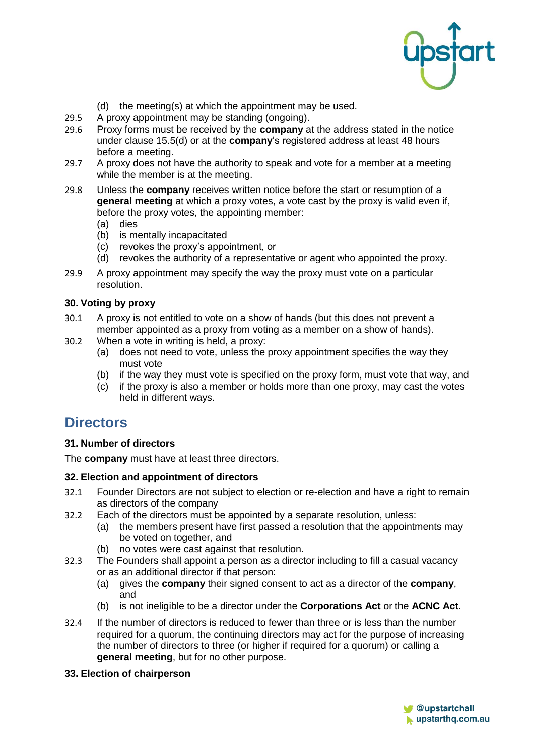

- (d) the meeting(s) at which the appointment may be used.
- 29.5 A proxy appointment may be standing (ongoing).
- 29.6 Proxy forms must be received by the **company** at the address stated in the notice under clause [15.5\(d\)](#page-6-1) or at the **company**'s registered address at least 48 hours before a meeting.
- 29.7 A proxy does not have the authority to speak and vote for a member at a meeting while the member is at the meeting.
- 29.8 Unless the **company** receives written notice before the start or resumption of a **general meeting** at which a proxy votes, a vote cast by the proxy is valid even if, before the proxy votes, the appointing member:
	- (a) dies
	- (b) is mentally incapacitated
	- (c) revokes the proxy's appointment, or
	- (d) revokes the authority of a representative or agent who appointed the proxy.
- 29.9 A proxy appointment may specify the way the proxy must vote on a particular resolution.

#### **30. Voting by proxy**

- 30.1 A proxy is not entitled to vote on a show of hands (but this does not prevent a member appointed as a proxy from voting as a member on a show of hands).
- 30.2 When a vote in writing is held, a proxy:
	- (a) does not need to vote, unless the proxy appointment specifies the way they must vote
	- (b) if the way they must vote is specified on the proxy form, must vote that way, and
	- (c) if the proxy is also a member or holds more than one proxy, may cast the votes held in different ways.

### **Directors**

#### **31. Number of directors**

The **company** must have at least three directors.

#### **32. Election and appointment of directors**

- 32.1 Founder Directors are not subject to election or re-election and have a right to remain as directors of the company
- 32.2 Each of the directors must be appointed by a separate resolution, unless:
	- (a) the members present have first passed a resolution that the appointments may be voted on together, and
	- (b) no votes were cast against that resolution.
- 32.3 The Founders shall appoint a person as a director including to fill a casual vacancy or as an additional director if that person:
	- (a) gives the **company** their signed consent to act as a director of the **company**, and
	- (b) is not ineligible to be a director under the **Corporations Act** or the **ACNC Act**.
- 32.4 If the number of directors is reduced to fewer than three or is less than the number required for a quorum, the continuing directors may act for the purpose of increasing the number of directors to three (or higher if required for a quorum) or calling a **general meeting**, but for no other purpose.
- **33. Election of chairperson**

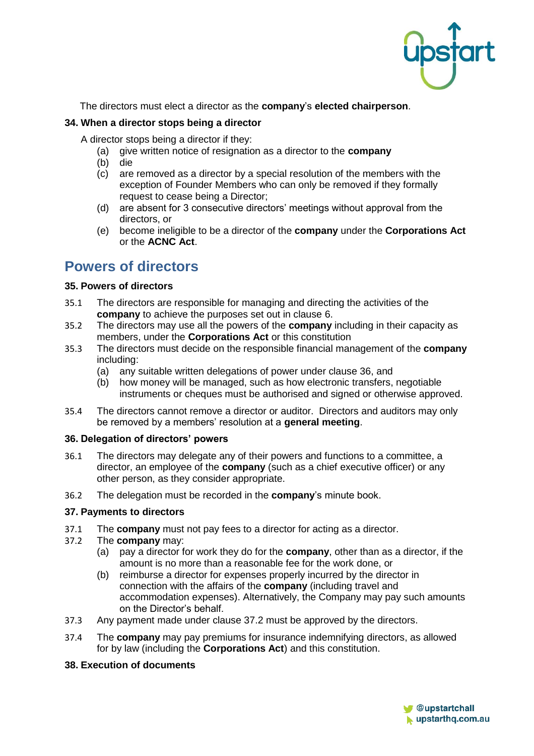

The directors must elect a director as the **company**'s **elected chairperson**.

#### **34. When a director stops being a director**

A director stops being a director if they:

- (a) give written notice of resignation as a director to the **company**
- (b) die
- (c) are removed as a director by a special resolution of the members with the exception of Founder Members who can only be removed if they formally request to cease being a Director;
- (d) are absent for 3 consecutive directors' meetings without approval from the directors, or
- (e) become ineligible to be a director of the **company** under the **Corporations Act** or the **ACNC Act**.

# **Powers of directors**

#### **35. Powers of directors**

- 35.1 The directors are responsible for managing and directing the activities of the **company** to achieve the purposes set out in clause [6.](#page-1-0)
- 35.2 The directors may use all the powers of the **company** including in their capacity as members, under the **Corporations Act** or this constitution
- 35.3 The directors must decide on the responsible financial management of the **company** including:
	- (a) any suitable written delegations of power under clause 36, and
	- (b) how money will be managed, such as how electronic transfers, negotiable instruments or cheques must be authorised and signed or otherwise approved.
- 35.4 The directors cannot remove a director or auditor. Directors and auditors may only be removed by a members' resolution at a **general meeting**.

#### **36. Delegation of directors' powers**

- 36.1 The directors may delegate any of their powers and functions to a committee, a director, an employee of the **company** (such as a chief executive officer) or any other person, as they consider appropriate.
- 36.2 The delegation must be recorded in the **company**'s minute book.

#### **37. Payments to directors**

- 37.1 The **company** must not pay fees to a director for acting as a director.
- <span id="page-11-0"></span>37.2 The **company** may:
	- (a) pay a director for work they do for the **company**, other than as a director, if the amount is no more than a reasonable fee for the work done, or
	- (b) reimburse a director for expenses properly incurred by the director in connection with the affairs of the **company** (including travel and accommodation expenses). Alternatively, the Company may pay such amounts on the Director's behalf.
- 37.3 Any payment made under clause [37.2](#page-11-0) must be approved by the directors.
- 37.4 The **company** may pay premiums for insurance indemnifying directors, as allowed for by law (including the **Corporations Act**) and this constitution.

#### **38. Execution of documents**

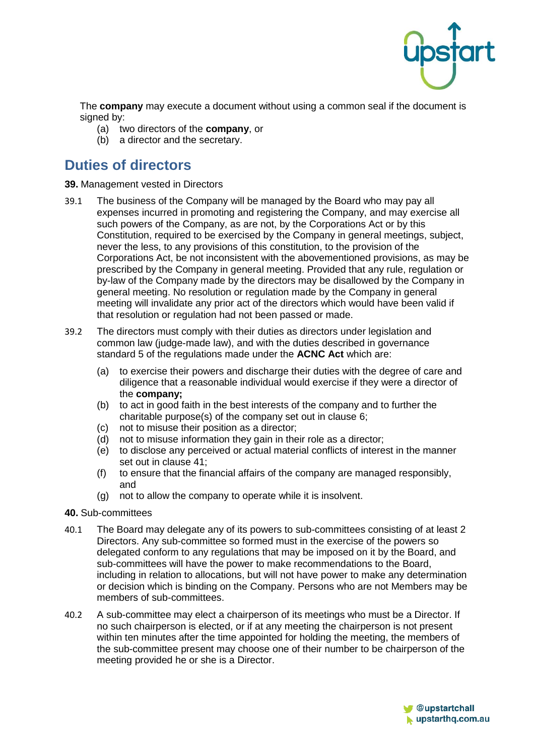

The **company** may execute a document without using a common seal if the document is signed by:

- (a) two directors of the **company**, or
- (b) a director and the secretary.

# **Duties of directors**

#### **39.** Management vested in Directors

- 39.1 The business of the Company will be managed by the Board who may pay all expenses incurred in promoting and registering the Company, and may exercise all such powers of the Company, as are not, by the Corporations Act or by this Constitution, required to be exercised by the Company in general meetings, subject, never the less, to any provisions of this constitution, to the provision of the Corporations Act, be not inconsistent with the abovementioned provisions, as may be prescribed by the Company in general meeting. Provided that any rule, regulation or by-law of the Company made by the directors may be disallowed by the Company in general meeting. No resolution or regulation made by the Company in general meeting will invalidate any prior act of the directors which would have been valid if that resolution or regulation had not been passed or made.
- 39.2 The directors must comply with their duties as directors under legislation and common law (judge-made law), and with the duties described in governance standard 5 of the regulations made under the **ACNC Act** which are:
	- (a) to exercise their powers and discharge their duties with the degree of care and diligence that a reasonable individual would exercise if they were a director of the **company;**
	- (b) to act in good faith in the best interests of the company and to further the charitable purpose(s) of the company set out in clause [6;](#page-1-0)
	- (c) not to misuse their position as a director;
	- (d) not to misuse information they gain in their role as a director;
	- (e) to disclose any perceived or actual material conflicts of interest in the manner set out in clause 41;
	- (f) to ensure that the financial affairs of the company are managed responsibly, and
	- (g) not to allow the company to operate while it is insolvent.

#### **40.** Sub-committees

- 40.1 The Board may delegate any of its powers to sub-committees consisting of at least 2 Directors. Any sub-committee so formed must in the exercise of the powers so delegated conform to any regulations that may be imposed on it by the Board, and sub-committees will have the power to make recommendations to the Board, including in relation to allocations, but will not have power to make any determination or decision which is binding on the Company. Persons who are not Members may be members of sub-committees.
- 40.2 A sub-committee may elect a chairperson of its meetings who must be a Director. If no such chairperson is elected, or if at any meeting the chairperson is not present within ten minutes after the time appointed for holding the meeting, the members of the sub-committee present may choose one of their number to be chairperson of the meeting provided he or she is a Director.

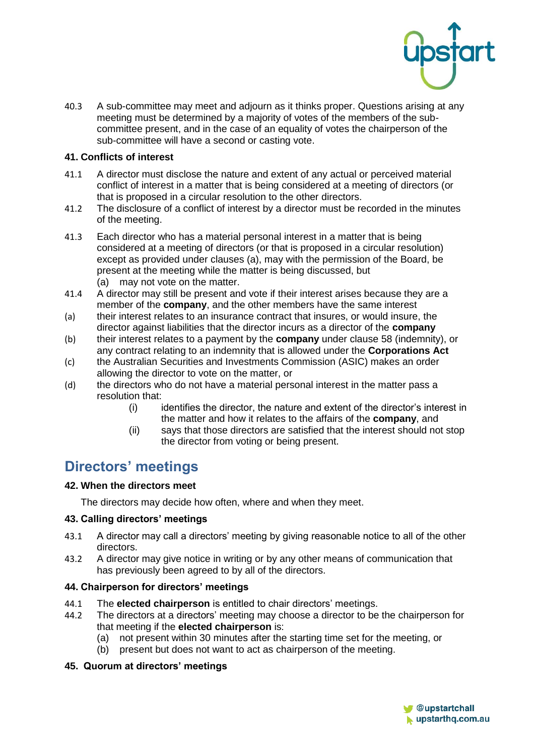

40.3 A sub-committee may meet and adjourn as it thinks proper. Questions arising at any meeting must be determined by a majority of votes of the members of the subcommittee present, and in the case of an equality of votes the chairperson of the sub-committee will have a second or casting vote.

#### **41. Conflicts of interest**

- 41.1 A director must disclose the nature and extent of any actual or perceived material conflict of interest in a matter that is being considered at a meeting of directors (or that is proposed in a circular resolution to the other directors.
- 41.2 The disclosure of a conflict of interest by a director must be recorded in the minutes of the meeting.
- 41.3 Each director who has a material personal interest in a matter that is being considered at a meeting of directors (or that is proposed in a circular resolution) except as provided under clauses [\(a\),](#page-13-0) may with the permission of the Board, be present at the meeting while the matter is being discussed, but (a) may not vote on the matter.
- <span id="page-13-0"></span>41.4 A director may still be present and vote if their interest arises because they are a member of the **company**, and the other members have the same interest
- (a) their interest relates to an insurance contract that insures, or would insure, the director against liabilities that the director incurs as a director of the **company**
- (b) their interest relates to a payment by the **company** under clause 58 (indemnity), or any contract relating to an indemnity that is allowed under the **Corporations Act**
- (c) the Australian Securities and Investments Commission (ASIC) makes an order allowing the director to vote on the matter, or
- (d) the directors who do not have a material personal interest in the matter pass a resolution that:
	- (i) identifies the director, the nature and extent of the director's interest in the matter and how it relates to the affairs of the **company**, and
	- (ii) says that those directors are satisfied that the interest should not stop the director from voting or being present.

# **Directors' meetings**

#### **42. When the directors meet**

The directors may decide how often, where and when they meet.

#### **43. Calling directors' meetings**

- 43.1 A director may call a directors' meeting by giving reasonable notice to all of the other directors.
- 43.2 A director may give notice in writing or by any other means of communication that has previously been agreed to by all of the directors.

#### **44. Chairperson for directors' meetings**

- 44.1 The **elected chairperson** is entitled to chair directors' meetings.<br>44.2 The directors at a directors' meeting may choose a director to be
- The directors at a directors' meeting may choose a director to be the chairperson for that meeting if the **elected chairperson** is:
	- (a) not present within 30 minutes after the starting time set for the meeting, or
	- (b) present but does not want to act as chairperson of the meeting.

#### **45. Quorum at directors' meetings**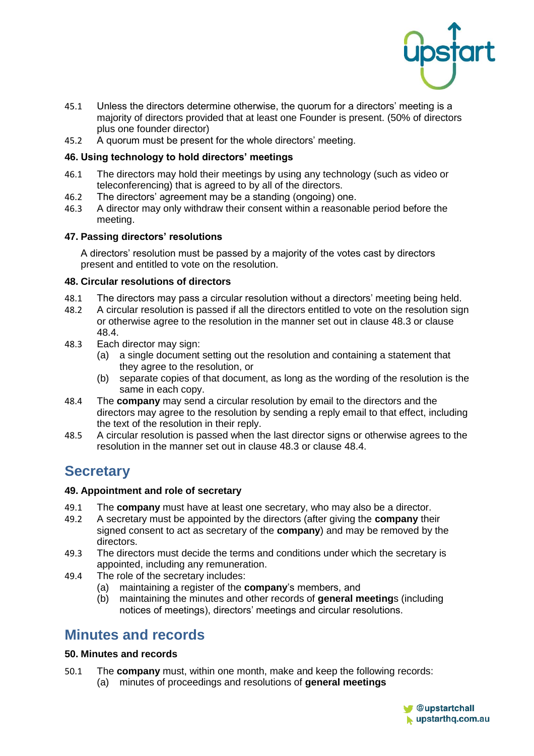

- 45.1 Unless the directors determine otherwise, the quorum for a directors' meeting is a majority of directors provided that at least one Founder is present. (50% of directors plus one founder director)
- 45.2 A quorum must be present for the whole directors' meeting.

#### **46. Using technology to hold directors' meetings**

- 46.1 The directors may hold their meetings by using any technology (such as video or teleconferencing) that is agreed to by all of the directors.
- 46.2 The directors' agreement may be a standing (ongoing) one.<br>46.3 A director may only withdraw their consent within a reasonal
- 46.3 A director may only withdraw their consent within a reasonable period before the meeting.

#### **47. Passing directors' resolutions**

A directors' resolution must be passed by a majority of the votes cast by directors present and entitled to vote on the resolution.

#### **48. Circular resolutions of directors**

- 48.1 The directors may pass a circular resolution without a directors' meeting being held.<br>48.2 A circular resolution is passed if all the directors entitled to vote on the resolution sig
- 48.2 A circular resolution is passed if all the directors entitled to vote on the resolution sign or otherwise agree to the resolution in the manner set out in clause [48.3](#page-14-0) or clause [48.4.](#page-14-1)
- <span id="page-14-0"></span>48.3 Each director may sign:
	- (a) a single document setting out the resolution and containing a statement that they agree to the resolution, or
	- (b) separate copies of that document, as long as the wording of the resolution is the same in each copy.
- <span id="page-14-1"></span>48.4 The **company** may send a circular resolution by email to the directors and the directors may agree to the resolution by sending a reply email to that effect, including the text of the resolution in their reply.
- 48.5 A circular resolution is passed when the last director signs or otherwise agrees to the resolution in the manner set out in clause [48.3](#page-14-0) or clause [48.4.](#page-14-1)

# **Secretary**

#### **49. Appointment and role of secretary**

- 49.1 The **company** must have at least one secretary, who may also be a director.
- 49.2 A secretary must be appointed by the directors (after giving the **company** their signed consent to act as secretary of the **company**) and may be removed by the directors.
- 49.3 The directors must decide the terms and conditions under which the secretary is appointed, including any remuneration.
- 49.4 The role of the secretary includes:
	- (a) maintaining a register of the **company**'s members, and
	- (b) maintaining the minutes and other records of **general meeting**s (including notices of meetings), directors' meetings and circular resolutions.

# **Minutes and records**

#### **50. Minutes and records**

- <span id="page-14-2"></span>50.1 The **company** must, within one month, make and keep the following records:
	- (a) minutes of proceedings and resolutions of **general meetings**

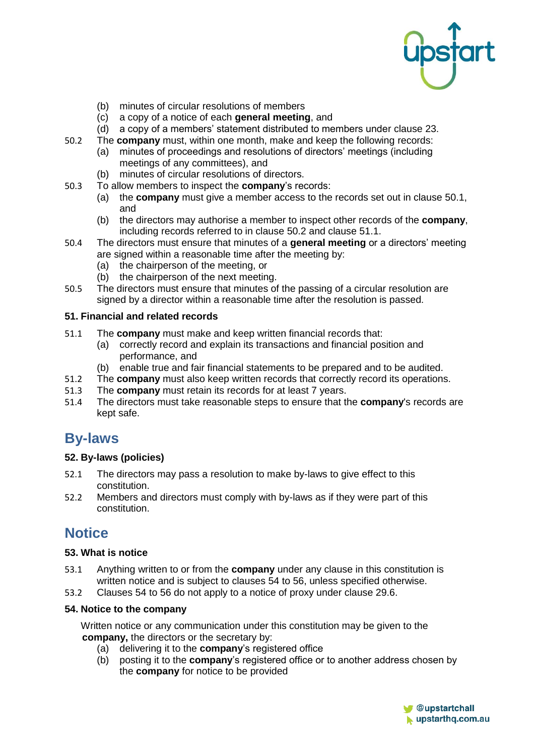

- (b) minutes of circular resolutions of members
- (c) a copy of a notice of each **general meeting**, and
- (d) a copy of a members' statement distributed to members under clause 23.
- <span id="page-15-0"></span>50.2 The **company** must, within one month, make and keep the following records: (a) minutes of proceedings and resolutions of directors' meetings (including
	- meetings of any committees), and
	- (b) minutes of circular resolutions of directors.
- 50.3 To allow members to inspect the **company**'s records:
	- (a) the **company** must give a member access to the records set out in clause [50.1,](#page-14-2) and
	- (b) the directors may authorise a member to inspect other records of the **company**, including records referred to in clause [50.2](#page-15-0) and clause [51.1.](#page-15-1)
- 50.4 The directors must ensure that minutes of a **general meeting** or a directors' meeting are signed within a reasonable time after the meeting by:
	- (a) the chairperson of the meeting, or
	- (b) the chairperson of the next meeting.
- 50.5 The directors must ensure that minutes of the passing of a circular resolution are signed by a director within a reasonable time after the resolution is passed.

#### **51. Financial and related records**

- <span id="page-15-1"></span>51.1 The **company** must make and keep written financial records that:
	- (a) correctly record and explain its transactions and financial position and performance, and
	- (b) enable true and fair financial statements to be prepared and to be audited.
- 51.2 The **company** must also keep written records that correctly record its operations.<br>51.3 The **company** must retain its records for at least 7 years.
- 51.3 The **company** must retain its records for at least 7 years.<br>51.4 The directors must take reasonable steps to ensure that the
- 51.4 The directors must take reasonable steps to ensure that the **company**'s records are kept safe.

### **By-laws**

#### **52. By-laws (policies)**

- 52.1 The directors may pass a resolution to make by-laws to give effect to this constitution.
- 52.2 Members and directors must comply with by-laws as if they were part of this constitution.

# **Notice**

#### **53. What is notice**

- 53.1 Anything written to or from the **company** under any clause in this constitution is written notice and is subject to clauses [54](#page-15-2) to [56,](#page-16-0) unless specified otherwise.
- 53.2 Clauses [54](#page-15-2) to [56](#page-16-0) do not apply to a notice of proxy under clause 29.6.

#### <span id="page-15-2"></span>**54. Notice to the company**

Written notice or any communication under this constitution may be given to the **company,** the directors or the secretary by:

- (a) delivering it to the **company**'s registered office
- (b) posting it to the **company**'s registered office or to another address chosen by the **company** for notice to be provided

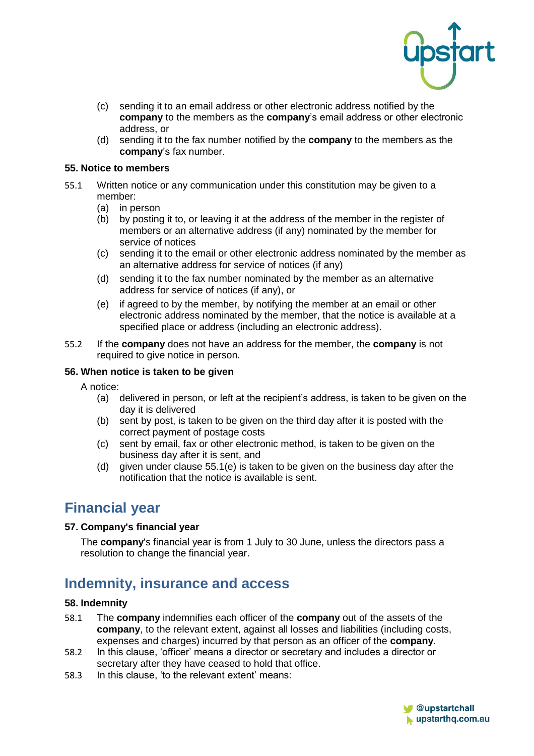

- (c) sending it to an email address or other electronic address notified by the **company** to the members as the **company**'s email address or other electronic address, or
- (d) sending it to the fax number notified by the **company** to the members as the **company**'s fax number.

#### **55. Notice to members**

- 55.1 Written notice or any communication under this constitution may be given to a member:
	- (a) in person
	- (b) by posting it to, or leaving it at the address of the member in the register of members or an alternative address (if any) nominated by the member for service of notices
	- (c) sending it to the email or other electronic address nominated by the member as an alternative address for service of notices (if any)
	- (d) sending it to the fax number nominated by the member as an alternative address for service of notices (if any), or
	- (e) if agreed to by the member, by notifying the member at an email or other electronic address nominated by the member, that the notice is available at a specified place or address (including an electronic address).
- 55.2 If the **company** does not have an address for the member, the **company** is not required to give notice in person.

#### <span id="page-16-0"></span>**56. When notice is taken to be given**

A notice:

- (a) delivered in person, or left at the recipient's address, is taken to be given on the day it is delivered
- (b) sent by post, is taken to be given on the third day after it is posted with the correct payment of postage costs
- (c) sent by email, fax or other electronic method, is taken to be given on the business day after it is sent, and
- (d) given under clause 55.1(e) is taken to be given on the business day after the notification that the notice is available is sent.

# **Financial year**

#### **57. Company's financial year**

The **company**'s financial year is from 1 July to 30 June, unless the directors pass a resolution to change the financial year.

# **Indemnity, insurance and access**

#### **58. Indemnity**

- 58.1 The **company** indemnifies each officer of the **company** out of the assets of the **company**, to the relevant extent, against all losses and liabilities (including costs, expenses and charges) incurred by that person as an officer of the **company**.
- 58.2 In this clause, 'officer' means a director or secretary and includes a director or secretary after they have ceased to hold that office.
- 58.3 In this clause, 'to the relevant extent' means:

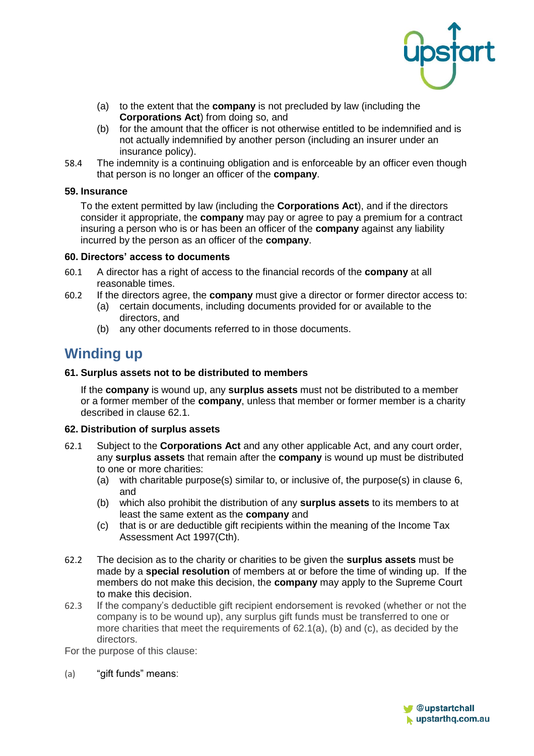

- (a) to the extent that the **company** is not precluded by law (including the **Corporations Act**) from doing so, and
- (b) for the amount that the officer is not otherwise entitled to be indemnified and is not actually indemnified by another person (including an insurer under an insurance policy).
- 58.4 The indemnity is a continuing obligation and is enforceable by an officer even though that person is no longer an officer of the **company**.

#### **59. Insurance**

To the extent permitted by law (including the **Corporations Act**), and if the directors consider it appropriate, the **company** may pay or agree to pay a premium for a contract insuring a person who is or has been an officer of the **company** against any liability incurred by the person as an officer of the **company**.

#### **60. Directors' access to documents**

- 60.1 A director has a right of access to the financial records of the **company** at all reasonable times.
- 60.2 If the directors agree, the **company** must give a director or former director access to:
	- (a) certain documents, including documents provided for or available to the directors, and
	- (b) any other documents referred to in those documents.

# **Winding up**

#### **61. Surplus assets not to be distributed to members**

If the **company** is wound up, any **surplus assets** must not be distributed to a member or a former member of the **company**, unless that member or former member is a charity described in clause 62.1.

#### <span id="page-17-0"></span>**62. Distribution of surplus assets**

- 62.1 Subject to the **Corporations Act** and any other applicable Act, and any court order, any **surplus assets** that remain after the **company** is wound up must be distributed to one or more charities:
	- (a) with charitable purpose(s) similar to, or inclusive of, the purpose(s) in clause [6,](#page-1-0) and
	- (b) which also prohibit the distribution of any **surplus assets** to its members to at least the same extent as the **company** and
	- (c) that is or are deductible gift recipients within the meaning of the Income Tax Assessment Act 1997(Cth).
- 62.2 The decision as to the charity or charities to be given the **surplus assets** must be made by a **special resolution** of members at or before the time of winding up. If the members do not make this decision, the **company** may apply to the Supreme Court to make this decision.
- 62.3 If the company's deductible gift recipient endorsement is revoked (whether or not the company is to be wound up), any surplus gift funds must be transferred to one or more charities that meet the requirements of  $62.1(a)$ , (b) and (c), as decided by the directors.

For the purpose of this clause:

(a) "gift funds" means:

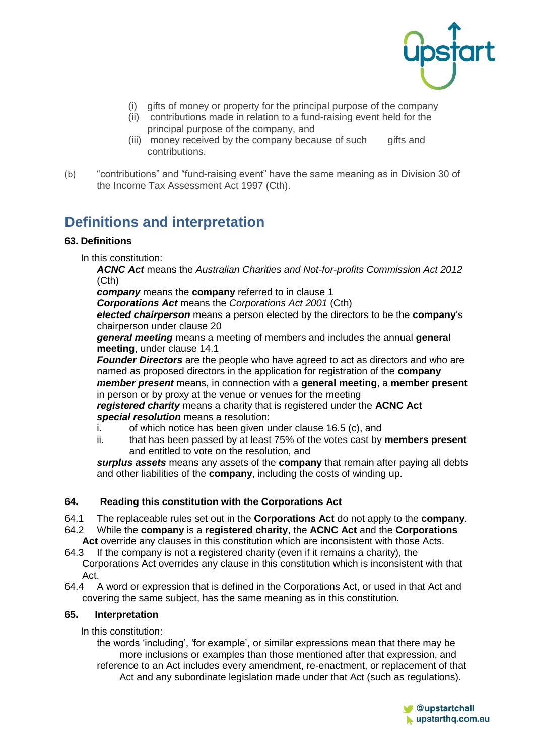

- (i) gifts of money or property for the principal purpose of the company
- (ii) contributions made in relation to a fund-raising event held for the principal purpose of the company, and
- (iii) money received by the company because of such gifts and contributions.
- (b) "contributions" and "fund-raising event" have the same meaning as in Division 30 of the Income Tax Assessment Act 1997 (Cth).

# **Definitions and interpretation**

#### **63. Definitions**

In this constitution:

*ACNC Act* means the *Australian Charities and Not-for-profits Commission Act 2012*  (Cth)

*company* means the **company** referred to in clause [1](#page-3-1)

*Corporations Act* means the *Corporations Act 2001* (Cth)

*elected chairperson* means a person elected by the directors to be the **company**'s chairperson under clause 20

*general meeting* means a meeting of members and includes the annual **general meeting**, under clause [14.1](#page-5-0)

*Founder Directors* are the people who have agreed to act as directors and who are named as proposed directors in the application for registration of the **company** *member present* means, in connection with a **general meeting**, a **member present** in person or by proxy at the venue or venues for the meeting

*registered charity* means a charity that is registered under the **ACNC Act** *special resolution* means a resolution:

- i. of which notice has been given under clause 16.5 (c), and
- ii. that has been passed by at least 75% of the votes cast by **members present** and entitled to vote on the resolution, and

*surplus assets* means any assets of the **company** that remain after paying all debts and other liabilities of the **company**, including the costs of winding up.

#### **64. Reading this constitution with the Corporations Act**

- 64.1 The replaceable rules set out in the **Corporations Act** do not apply to the **company**.
- 64.2 While the **company** is a **registered charity**, the **ACNC Act** and the **Corporations Act** override any clauses in this constitution which are inconsistent with those Acts.
- 64.3 If the company is not a registered charity (even if it remains a charity), the Corporations Act overrides any clause in this constitution which is inconsistent with that Act.
- 64.4 A word or expression that is defined in the Corporations Act, or used in that Act and covering the same subject, has the same meaning as in this constitution.

#### **65. Interpretation**

In this constitution:

the words 'including', 'for example', or similar expressions mean that there may be more inclusions or examples than those mentioned after that expression, and reference to an Act includes every amendment, re-enactment, or replacement of that Act and any subordinate legislation made under that Act (such as regulations).